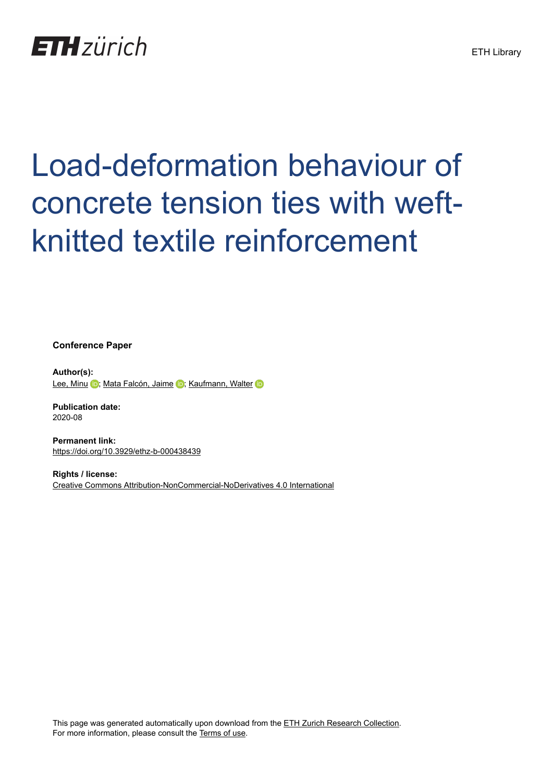

# Load-deformation behaviour of concrete tension ties with weftknitted textile reinforcement

**Conference Paper**

**Author(s):** [Lee, Minu](https://orcid.org/0000-0002-6489-8310) D; [Mata Falcón, Jaime](https://orcid.org/0000-0001-8701-4410) D; [Kaufmann, Walter](https://orcid.org/0000-0002-8415-4896) D

**Publication date:** 2020-08

**Permanent link:** <https://doi.org/10.3929/ethz-b-000438439>

**Rights / license:** [Creative Commons Attribution-NonCommercial-NoDerivatives 4.0 International](http://creativecommons.org/licenses/by-nc-nd/4.0/)

This page was generated automatically upon download from the [ETH Zurich Research Collection.](https://www.research-collection.ethz.ch) For more information, please consult the [Terms of use](https://www.research-collection.ethz.ch/terms-of-use).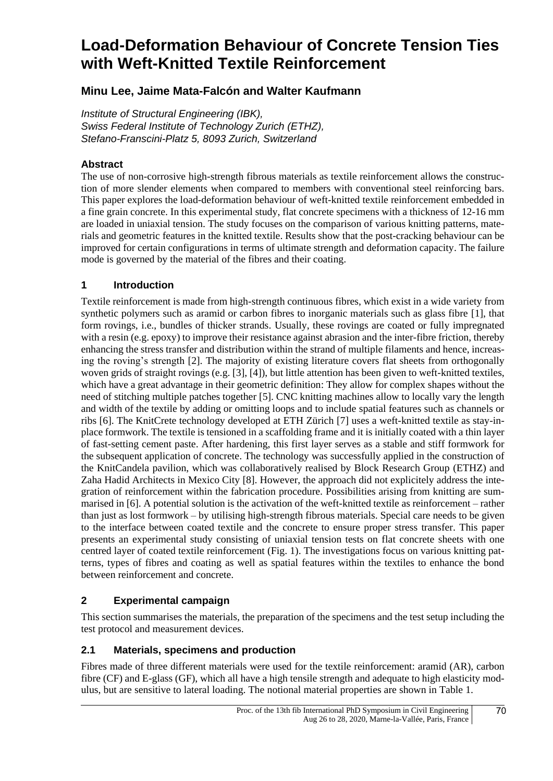# **Load-Deformation Behaviour of Concrete Tension Ties with Weft-Knitted Textile Reinforcement**

# **Minu Lee, Jaime Mata-Falcón and Walter Kaufmann**

*Institute of Structural Engineering (IBK), Swiss Federal Institute of Technology Zurich (ETHZ), Stefano-Franscini-Platz 5, 8093 Zurich, Switzerland*

#### **Abstract**

The use of non-corrosive high-strength fibrous materials as textile reinforcement allows the construction of more slender elements when compared to members with conventional steel reinforcing bars. This paper explores the load-deformation behaviour of weft-knitted textile reinforcement embedded in a fine grain concrete. In this experimental study, flat concrete specimens with a thickness of 12-16 mm are loaded in uniaxial tension. The study focuses on the comparison of various knitting patterns, materials and geometric features in the knitted textile. Results show that the post-cracking behaviour can be improved for certain configurations in terms of ultimate strength and deformation capacity. The failure mode is governed by the material of the fibres and their coating.

## **1 Introduction**

Textile reinforcement is made from high-strength continuous fibres, which exist in a wide variety from synthetic polymers such as aramid or carbon fibres to inorganic materials such as glass fibre [1], that form rovings, i.e., bundles of thicker strands. Usually, these rovings are coated or fully impregnated with a resin (e.g. epoxy) to improve their resistance against abrasion and the inter-fibre friction, thereby enhancing the stress transfer and distribution within the strand of multiple filaments and hence, increasing the roving's strength [2]. The majority of existing literature covers flat sheets from orthogonally woven grids of straight rovings (e.g. [3], [4]), but little attention has been given to weft-knitted textiles, which have a great advantage in their geometric definition: They allow for complex shapes without the need of stitching multiple patches together [5]. CNC knitting machines allow to locally vary the length and width of the textile by adding or omitting loops and to include spatial features such as channels or ribs [6]. The KnitCrete technology developed at ETH Zürich [7] uses a weft-knitted textile as stay-inplace formwork. The textile is tensioned in a scaffolding frame and it is initially coated with a thin layer of fast-setting cement paste. After hardening, this first layer serves as a stable and stiff formwork for the subsequent application of concrete. The technology was successfully applied in the construction of the KnitCandela pavilion, which was collaboratively realised by Block Research Group (ETHZ) and Zaha Hadid Architects in Mexico City [8]. However, the approach did not explicitely address the integration of reinforcement within the fabrication procedure. Possibilities arising from knitting are summarised in [6]. A potential solution is the activation of the weft-knitted textile as reinforcement – rather than just as lost formwork – by utilising high-strength fibrous materials. Special care needs to be given to the interface between coated textile and the concrete to ensure proper stress transfer. This paper presents an experimental study consisting of uniaxial tension tests on flat concrete sheets with one centred layer of coated textile reinforcement (Fig. 1). The investigations focus on various knitting patterns, types of fibres and coating as well as spatial features within the textiles to enhance the bond between reinforcement and concrete.

## **2 Experimental campaign**

This section summarises the materials, the preparation of the specimens and the test setup including the test protocol and measurement devices.

## **2.1 Materials, specimens and production**

Fibres made of three different materials were used for the textile reinforcement: aramid (AR), carbon fibre (CF) and E-glass (GF), which all have a high tensile strength and adequate to high elasticity modulus, but are sensitive to lateral loading. The notional material properties are shown in Table 1.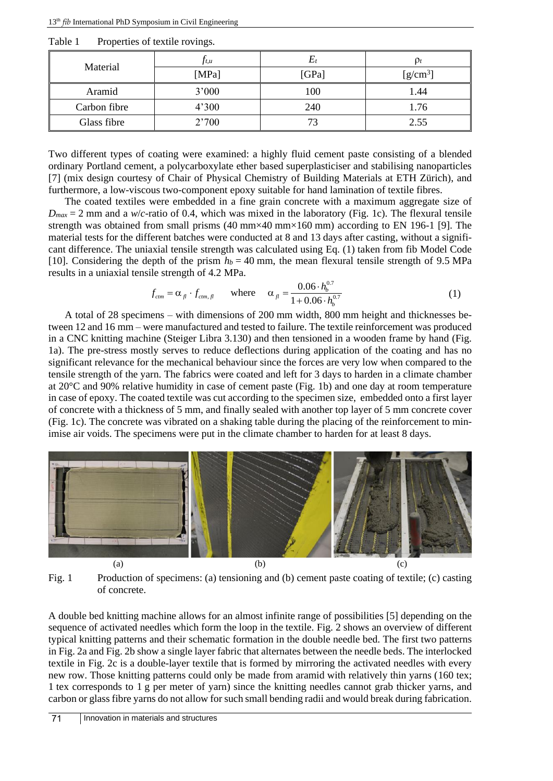| Material     | Jt, u | Ľ1    | $\mathbf{p}_t$ |  |  |
|--------------|-------|-------|----------------|--|--|
|              | [MPa] | [GPa] | $[g/cm^3]$     |  |  |
| Aramid       | 3'000 | 100   | 1.44           |  |  |
| Carbon fibre | 4'300 | 240   | 1.76           |  |  |
| Glass fibre  | 2'700 | 73    | 2.55           |  |  |

Table 1 Properties of textile rovings.

Two different types of coating were examined: a highly fluid cement paste consisting of a blended ordinary Portland cement, a polycarboxylate ether based superplasticiser and stabilising nanoparticles [7] (mix design courtesy of Chair of Physical Chemistry of Building Materials at ETH Zürich), and furthermore, a low-viscous two-component epoxy suitable for hand lamination of textile fibres.

The coated textiles were embedded in a fine grain concrete with a maximum aggregate size of  $D_{max} = 2$  mm and a *w*/*c*-ratio of 0.4, which was mixed in the laboratory (Fig. 1c). The flexural tensile strength was obtained from small prisms  $(40 \text{ mm} \times 40 \text{ mm} \times 160 \text{ mm})$  according to EN 196-1 [9]. The material tests for the different batches were conducted at 8 and 13 days after casting, without a significant difference. The uniaxial tensile strength was calculated using Eq. (1) taken from fib Model Code [10]. Considering the depth of the prism  $h_b = 40$  mm, the mean flexural tensile strength of 9.5 MPa

results in a uniaxial tensile strength of 4.2 MPa.  
\n
$$
f_{cm} = \alpha_{fl} \cdot f_{cm,f} \quad \text{where} \quad \alpha_{fl} = \frac{0.06 \cdot h_b^{0.7}}{1 + 0.06 \cdot h_b^{0.7}} \tag{1}
$$

A total of 28 specimens – with dimensions of 200 mm width, 800 mm height and thicknesses between 12 and 16 mm – were manufactured and tested to failure. The textile reinforcement was produced in a CNC knitting machine (Steiger Libra 3.130) and then tensioned in a wooden frame by hand (Fig. 1a). The pre-stress mostly serves to reduce deflections during application of the coating and has no significant relevance for the mechanical behaviour since the forces are very low when compared to the tensile strength of the yarn. The fabrics were coated and left for 3 days to harden in a climate chamber at 20°C and 90% relative humidity in case of cement paste (Fig. 1b) and one day at room temperature in case of epoxy. The coated textile was cut according to the specimen size, embedded onto a first layer of concrete with a thickness of 5 mm, and finally sealed with another top layer of 5 mm concrete cover (Fig. 1c). The concrete was vibrated on a shaking table during the placing of the reinforcement to minimise air voids. The specimens were put in the climate chamber to harden for at least 8 days.



Fig. 1 Production of specimens: (a) tensioning and (b) cement paste coating of textile; (c) casting of concrete.

A double bed knitting machine allows for an almost infinite range of possibilities [5] depending on the sequence of activated needles which form the loop in the textile. Fig. 2 shows an overview of different typical knitting patterns and their schematic formation in the double needle bed. The first two patterns in Fig. 2a and Fig. 2b show a single layer fabric that alternates between the needle beds. The interlocked textile in Fig. 2c is a double-layer textile that is formed by mirroring the activated needles with every new row. Those knitting patterns could only be made from aramid with relatively thin yarns (160 tex; 1 tex corresponds to 1 g per meter of yarn) since the knitting needles cannot grab thicker yarns, and carbon or glass fibre yarns do not allow for such small bending radii and would break during fabrication.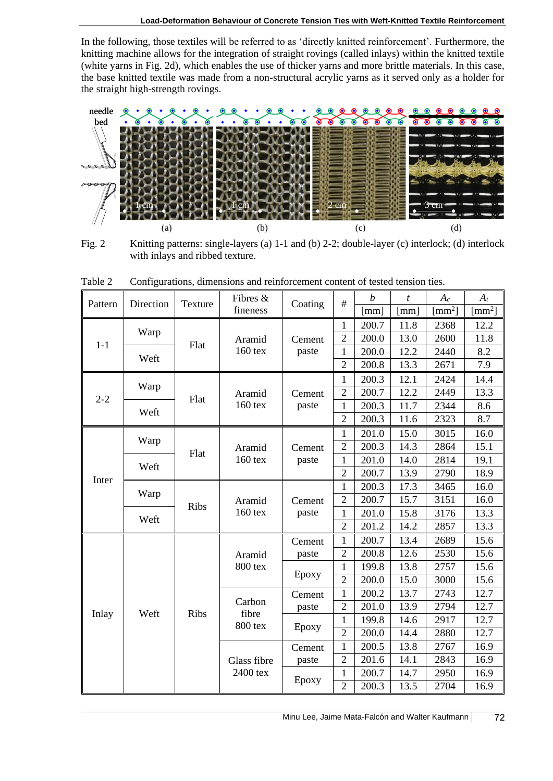In the following, those textiles will be referred to as 'directly knitted reinforcement'. Furthermore, the knitting machine allows for the integration of straight rovings (called inlays) within the knitted textile (white yarns in Fig. 2d), which enables the use of thicker yarns and more brittle materials. In this case, the base knitted textile was made from a non-structural acrylic yarns as it served only as a holder for the straight high-strength rovings.



Fig. 2 Knitting patterns: single-layers (a) 1-1 and (b) 2-2; double-layer (c) interlock; (d) interlock with inlays and ribbed texture.

| needle   | ୍ଚ                              |             | ◉                                                                                               |                 |                |                  | ◉    | $\begin{array}{cccccccccccccc} \circ & \circ & \circ & \circ & \circ & \circ & \circ \end{array}$ |                    |
|----------|---------------------------------|-------------|-------------------------------------------------------------------------------------------------|-----------------|----------------|------------------|------|---------------------------------------------------------------------------------------------------|--------------------|
| bed      |                                 |             |                                                                                                 |                 |                |                  | ಕ್   | $\delta$<br>रू ह                                                                                  | ன<br>$\bullet$     |
|          |                                 |             |                                                                                                 |                 |                |                  |      |                                                                                                   |                    |
|          |                                 |             |                                                                                                 |                 |                |                  |      |                                                                                                   |                    |
|          |                                 |             |                                                                                                 |                 |                |                  |      |                                                                                                   |                    |
|          |                                 |             |                                                                                                 |                 |                |                  |      |                                                                                                   |                    |
|          |                                 |             |                                                                                                 |                 |                |                  |      |                                                                                                   |                    |
|          |                                 |             |                                                                                                 |                 |                |                  |      |                                                                                                   |                    |
|          |                                 |             |                                                                                                 |                 |                |                  |      |                                                                                                   |                    |
|          | (a)                             |             | (b)                                                                                             |                 |                | (c)              |      | (d)                                                                                               |                    |
| Fig. $2$ |                                 |             | Knitting patterns: single-layers (a) 1-1 and (b) 2-2; double-layer (c) interlock; (d) interlock |                 |                |                  |      |                                                                                                   |                    |
|          | with inlays and ribbed texture. |             |                                                                                                 |                 |                |                  |      |                                                                                                   |                    |
|          |                                 |             |                                                                                                 |                 |                |                  |      |                                                                                                   |                    |
| Table 2  |                                 |             | Configurations, dimensions and reinforcement content of tested tension ties.                    |                 |                |                  |      |                                                                                                   |                    |
|          | Direction                       |             | Fibres &<br>fineness                                                                            | Coating         | $\#$           | $\boldsymbol{b}$ | t    | $A_c$                                                                                             | $A_t$              |
| Pattern  |                                 | Texture     |                                                                                                 |                 |                | [mm]             | [mm] | $\text{[mm}^2$                                                                                    | [mm <sup>2</sup> ] |
|          |                                 |             | Aramid<br>$160$ tex                                                                             | Cement<br>paste | 1              | 200.7            | 11.8 | 2368                                                                                              | 12.2               |
| $1-1$    | Warp                            |             |                                                                                                 |                 | $\overline{2}$ | 200.0            | 13.0 | 2600                                                                                              | 11.8               |
|          |                                 | Flat        |                                                                                                 |                 | $\mathbf{1}$   | 200.0            | 12.2 | 2440                                                                                              | 8.2                |
|          | Weft                            |             |                                                                                                 |                 | $\overline{2}$ | 200.8            | 13.3 | 2671                                                                                              | 7.9                |
|          |                                 |             | Aramid<br>$160$ tex                                                                             | Cement<br>paste | 1              | 200.3            | 12.1 | 2424                                                                                              | 14.4               |
| $2 - 2$  | Warp                            |             |                                                                                                 |                 | $\overline{2}$ | 200.7            | 12.2 | 2449                                                                                              | 13.3               |
|          |                                 | Flat        |                                                                                                 |                 | $\mathbf{1}$   | 200.3            | 11.7 | 2344                                                                                              | 8.6                |
|          | Weft                            |             |                                                                                                 |                 | $\overline{2}$ | 200.3            | 11.6 | 2323                                                                                              | 8.7                |
|          |                                 | Flat        | Aramid<br>$160$ tex                                                                             | Cement<br>paste | 1              | 201.0            | 15.0 | 3015                                                                                              | 16.0               |
|          | Warp                            |             |                                                                                                 |                 | $\overline{2}$ | 200.3            | 14.3 | 2864                                                                                              | 15.1               |
|          |                                 |             |                                                                                                 |                 | $\mathbf{1}$   | 201.0            | 14.0 | 2814                                                                                              | 19.1               |
|          | Weft                            |             |                                                                                                 |                 | $\overline{2}$ | 200.7            | 13.9 | 2790                                                                                              | 18.9               |
| Inter    |                                 | <b>Ribs</b> | Aramid<br>$160$ tex                                                                             | Cement<br>paste | $\mathbf{1}$   | 200.3            | 17.3 | 3465                                                                                              | 16.0               |
|          | Warp                            |             |                                                                                                 |                 | $\overline{2}$ | 200.7            | 15.7 | 3151                                                                                              | 16.0               |
|          |                                 |             |                                                                                                 |                 | 1              | 201.0            | 15.8 | 3176                                                                                              | 13.3               |
|          | Weft                            |             |                                                                                                 |                 | 2              | 201.2            | 14.2 | 2857                                                                                              | 13.3               |
| Inlay    | Weft                            | <b>Ribs</b> | Aramid<br>800 tex                                                                               | Cement          | $\mathbf{1}$   | 200.7            | 13.4 | 2689                                                                                              | 15.6               |
|          |                                 |             |                                                                                                 | paste           | $\overline{2}$ | 200.8            | 12.6 | 2530                                                                                              | 15.6               |
|          |                                 |             |                                                                                                 | Epoxy           | 1              | 199.8            | 13.8 | 2757                                                                                              | 15.6               |
|          |                                 |             |                                                                                                 |                 | $\overline{2}$ | 200.0            | 15.0 | 3000                                                                                              | 15.6               |
|          |                                 |             | Carbon<br>fibre<br>800 tex                                                                      | Cement          | $\mathbf{1}$   | 200.2            | 13.7 | 2743                                                                                              | 12.7               |
|          |                                 |             |                                                                                                 | paste           | $\overline{2}$ | 201.0            | 13.9 | 2794                                                                                              | 12.7               |
|          |                                 |             |                                                                                                 | Epoxy           | $\mathbf{1}$   | 199.8            | 14.6 | 2917                                                                                              | 12.7               |
|          |                                 |             |                                                                                                 |                 | $\overline{2}$ | 200.0            | 14.4 | 2880                                                                                              | 12.7               |
|          |                                 |             | Glass fibre<br>2400 tex                                                                         | Cement          | $\mathbf{1}$   | 200.5            | 13.8 | 2767                                                                                              | 16.9               |
|          |                                 |             |                                                                                                 | paste           | $\overline{2}$ | 201.6            | 14.1 | 2843                                                                                              | 16.9               |
|          |                                 |             |                                                                                                 | Epoxy           | $\mathbf{1}$   | 200.7            | 14.7 | 2950                                                                                              | 16.9               |
|          |                                 |             |                                                                                                 |                 | $\overline{2}$ | 200.3            | 13.5 | 2704                                                                                              | 16.9               |

Table 2 Configurations, dimensions and reinforcement content of tested tension ties.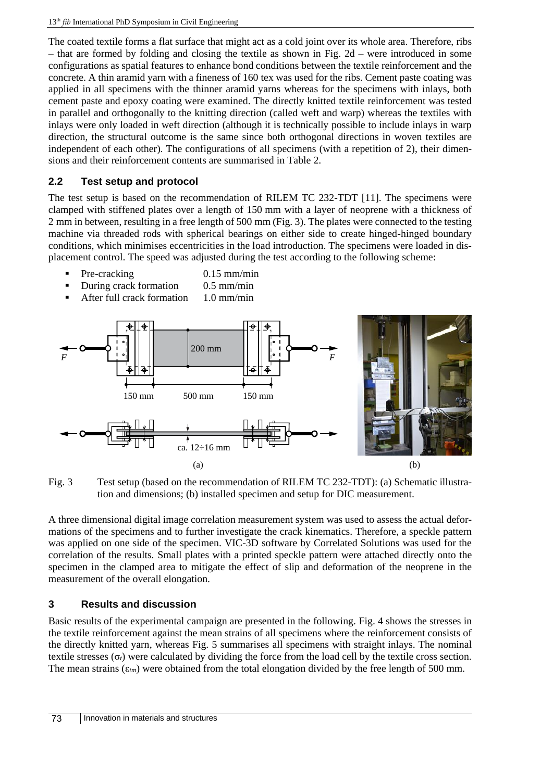The coated textile forms a flat surface that might act as a cold joint over its whole area. Therefore, ribs – that are formed by folding and closing the textile as shown in Fig. 2d – were introduced in some configurations as spatial features to enhance bond conditions between the textile reinforcement and the concrete. A thin aramid yarn with a fineness of 160 tex was used for the ribs. Cement paste coating was applied in all specimens with the thinner aramid yarns whereas for the specimens with inlays, both cement paste and epoxy coating were examined. The directly knitted textile reinforcement was tested in parallel and orthogonally to the knitting direction (called weft and warp) whereas the textiles with inlays were only loaded in weft direction (although it is technically possible to include inlays in warp direction, the structural outcome is the same since both orthogonal directions in woven textiles are independent of each other). The configurations of all specimens (with a repetition of 2), their dimensions and their reinforcement contents are summarised in Table 2.

## **2.2 Test setup and protocol**

The test setup is based on the recommendation of RILEM TC 232-TDT [11]. The specimens were clamped with stiffened plates over a length of 150 mm with a layer of neoprene with a thickness of 2 mm in between, resulting in a free length of 500 mm (Fig. 3). The plates were connected to the testing machine via threaded rods with spherical bearings on either side to create hinged-hinged boundary conditions, which minimises eccentricities in the load introduction. The specimens were loaded in displacement control. The speed was adjusted during the test according to the following scheme:

- - Pre-cracking 0.15 mm/min
- During crack formation 0.5 mm/min After full crack formation 1.0 mm/min



Fig. 3 Test setup (based on the recommendation of RILEM TC 232-TDT): (a) Schematic illustration and dimensions; (b) installed specimen and setup for DIC measurement.

A three dimensional digital image correlation measurement system was used to assess the actual deformations of the specimens and to further investigate the crack kinematics. Therefore, a speckle pattern was applied on one side of the specimen. VIC-3D software by Correlated Solutions was used for the correlation of the results. Small plates with a printed speckle pattern were attached directly onto the specimen in the clamped area to mitigate the effect of slip and deformation of the neoprene in the measurement of the overall elongation.

## **3 Results and discussion**

Basic results of the experimental campaign are presented in the following. Fig. 4 shows the stresses in the textile reinforcement against the mean strains of all specimens where the reinforcement consists of the directly knitted yarn, whereas Fig. 5 summarises all specimens with straight inlays. The nominal textile stresses (σ*t*) were calculated by dividing the force from the load cell by the textile cross section. The mean strains  $(\epsilon_{tm})$  were obtained from the total elongation divided by the free length of 500 mm.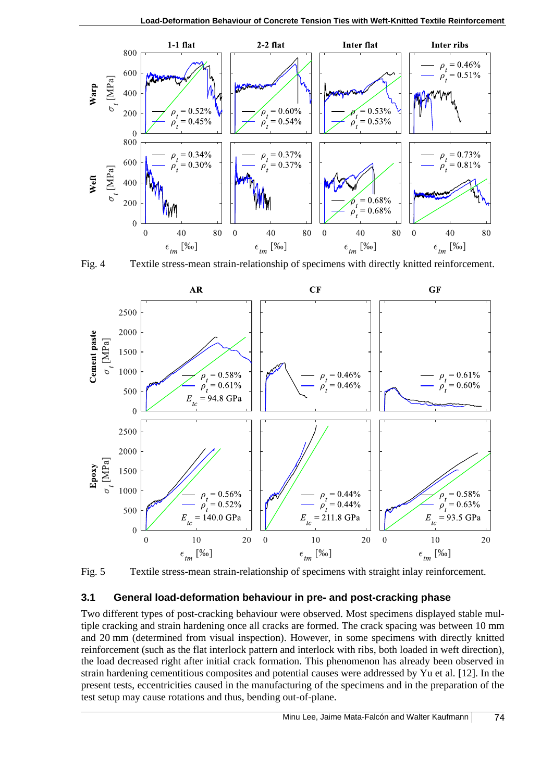

Fig. 4 Textile stress-mean strain-relationship of specimens with directly knitted reinforcement.



Fig. 5 Textile stress-mean strain-relationship of specimens with straight inlay reinforcement.

## **3.1 General load-deformation behaviour in pre- and post-cracking phase**

Two different types of post-cracking behaviour were observed. Most specimens displayed stable multiple cracking and strain hardening once all cracks are formed. The crack spacing was between 10 mm and 20 mm (determined from visual inspection). However, in some specimens with directly knitted reinforcement (such as the flat interlock pattern and interlock with ribs, both loaded in weft direction), the load decreased right after initial crack formation. This phenomenon has already been observed in strain hardening cementitious composites and potential causes were addressed by Yu et al. [12]. In the present tests, eccentricities caused in the manufacturing of the specimens and in the preparation of the test setup may cause rotations and thus, bending out-of-plane.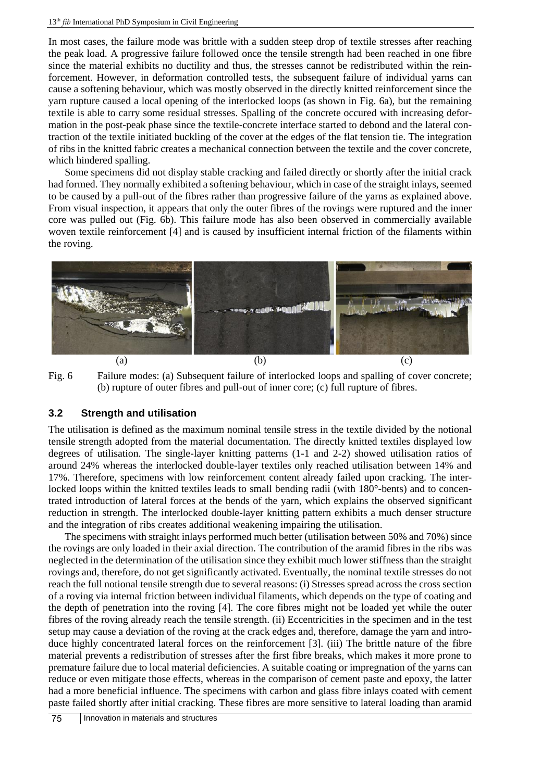#### 13<sup>th</sup> fib International PhD Symposium in Civil Engineering

In most cases, the failure mode was brittle with a sudden steep drop of textile stresses after reaching the peak load. A progressive failure followed once the tensile strength had been reached in one fibre since the material exhibits no ductility and thus, the stresses cannot be redistributed within the reinforcement. However, in deformation controlled tests, the subsequent failure of individual yarns can cause a softening behaviour, which was mostly observed in the directly knitted reinforcement since the yarn rupture caused a local opening of the interlocked loops (as shown in Fig. 6a), but the remaining textile is able to carry some residual stresses. Spalling of the concrete occured with increasing deformation in the post-peak phase since the textile-concrete interface started to debond and the lateral contraction of the textile initiated buckling of the cover at the edges of the flat tension tie. The integration of ribs in the knitted fabric creates a mechanical connection between the textile and the cover concrete, which hindered spalling.

Some specimens did not display stable cracking and failed directly or shortly after the initial crack had formed. They normally exhibited a softening behaviour, which in case of the straight inlays, seemed to be caused by a pull-out of the fibres rather than progressive failure of the yarns as explained above. From visual inspection, it appears that only the outer fibres of the rovings were ruptured and the inner core was pulled out (Fig. 6b). This failure mode has also been observed in commercially available woven textile reinforcement [4] and is caused by insufficient internal friction of the filaments within the roving.



Fig. 6 Failure modes: (a) Subsequent failure of interlocked loops and spalling of cover concrete; (b) rupture of outer fibres and pull-out of inner core; (c) full rupture of fibres.

#### **3.2 Strength and utilisation**

The utilisation is defined as the maximum nominal tensile stress in the textile divided by the notional tensile strength adopted from the material documentation. The directly knitted textiles displayed low degrees of utilisation. The single-layer knitting patterns (1-1 and 2-2) showed utilisation ratios of around 24% whereas the interlocked double-layer textiles only reached utilisation between 14% and 17%. Therefore, specimens with low reinforcement content already failed upon cracking. The interlocked loops within the knitted textiles leads to small bending radii (with 180°-bents) and to concentrated introduction of lateral forces at the bends of the yarn, which explains the observed significant reduction in strength. The interlocked double-layer knitting pattern exhibits a much denser structure and the integration of ribs creates additional weakening impairing the utilisation.

The specimens with straight inlays performed much better (utilisation between 50% and 70%) since the rovings are only loaded in their axial direction. The contribution of the aramid fibres in the ribs was neglected in the determination of the utilisation since they exhibit much lower stiffness than the straight rovings and, therefore, do not get significantly activated. Eventually, the nominal textile stresses do not reach the full notional tensile strength due to several reasons: (i) Stresses spread across the cross section of a roving via internal friction between individual filaments, which depends on the type of coating and the depth of penetration into the roving [4]. The core fibres might not be loaded yet while the outer fibres of the roving already reach the tensile strength. (ii) Eccentricities in the specimen and in the test setup may cause a deviation of the roving at the crack edges and, therefore, damage the yarn and introduce highly concentrated lateral forces on the reinforcement [3]. (iii) The brittle nature of the fibre material prevents a redistribution of stresses after the first fibre breaks, which makes it more prone to premature failure due to local material deficiencies. A suitable coating or impregnation of the yarns can reduce or even mitigate those effects, whereas in the comparison of cement paste and epoxy, the latter had a more beneficial influence. The specimens with carbon and glass fibre inlays coated with cement paste failed shortly after initial cracking. These fibres are more sensitive to lateral loading than aramid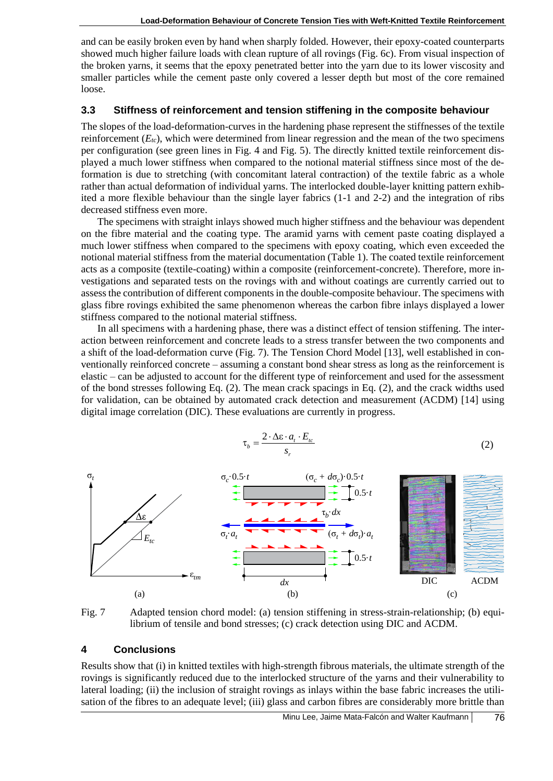and can be easily broken even by hand when sharply folded. However, their epoxy-coated counterparts showed much higher failure loads with clean rupture of all rovings (Fig. 6c). From visual inspection of the broken yarns, it seems that the epoxy penetrated better into the yarn due to its lower viscosity and smaller particles while the cement paste only covered a lesser depth but most of the core remained loose.

#### **3.3 Stiffness of reinforcement and tension stiffening in the composite behaviour**

The slopes of the load-deformation-curves in the hardening phase represent the stiffnesses of the textile reinforcement  $(E_{tc})$ , which were determined from linear regression and the mean of the two specimens per configuration (see green lines in Fig. 4 and Fig. 5). The directly knitted textile reinforcement displayed a much lower stiffness when compared to the notional material stiffness since most of the deformation is due to stretching (with concomitant lateral contraction) of the textile fabric as a whole rather than actual deformation of individual yarns. The interlocked double-layer knitting pattern exhibited a more flexible behaviour than the single layer fabrics (1-1 and 2-2) and the integration of ribs decreased stiffness even more.

The specimens with straight inlays showed much higher stiffness and the behaviour was dependent on the fibre material and the coating type. The aramid yarns with cement paste coating displayed a much lower stiffness when compared to the specimens with epoxy coating, which even exceeded the notional material stiffness from the material documentation (Table 1). The coated textile reinforcement acts as a composite (textile-coating) within a composite (reinforcement-concrete). Therefore, more investigations and separated tests on the rovings with and without coatings are currently carried out to assess the contribution of different components in the double-composite behaviour. The specimens with glass fibre rovings exhibited the same phenomenon whereas the carbon fibre inlays displayed a lower stiffness compared to the notional material stiffness.

In all specimens with a hardening phase, there was a distinct effect of tension stiffening. The interaction between reinforcement and concrete leads to a stress transfer between the two components and a shift of the load-deformation curve (Fig. 7). The Tension Chord Model [13], well established in conventionally reinforced concrete – assuming a constant bond shear stress as long as the reinforcement is elastic – can be adjusted to account for the different type of reinforcement and used for the assessment of the bond stresses following Eq. (2). The mean crack spacings in Eq. (2), and the crack widths used for validation, can be obtained by automated crack detection and measurement (ACDM) [14] using digital image correlation (DIC). These evaluations are currently in progress.

$$
\tau_b = \frac{2 \cdot \Delta \varepsilon \cdot a_t \cdot E_{tc}}{s_r} \tag{2}
$$





#### **4 Conclusions**

Results show that (i) in knitted textiles with high-strength fibrous materials, the ultimate strength of the rovings is significantly reduced due to the interlocked structure of the yarns and their vulnerability to lateral loading; (ii) the inclusion of straight rovings as inlays within the base fabric increases the utilisation of the fibres to an adequate level; (iii) glass and carbon fibres are considerably more brittle than